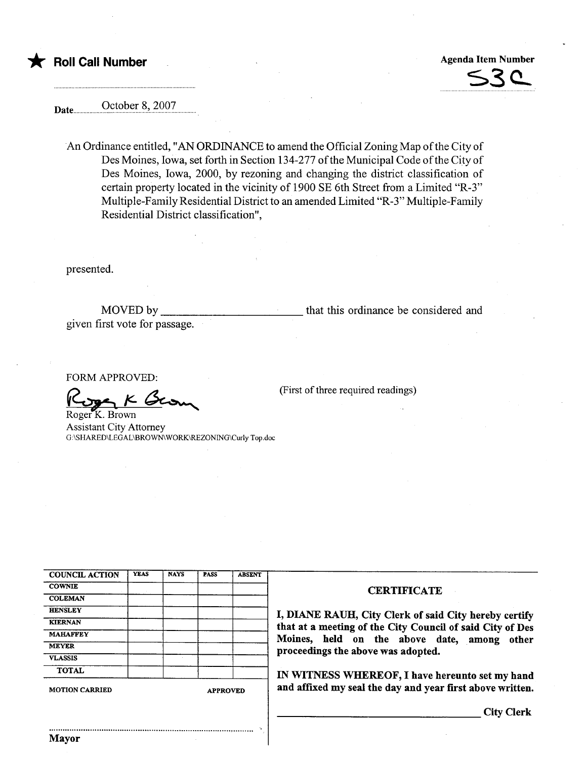

S3 c.

Date October 8, 2007

An Ordinance entitled, "AN ORDINANCE to amend the Official Zoning Map of the City of Des Moines, Iowa, set forth in Section 134-277 of the Municipal Code of the City of Des Moines, Iowa, 2000, by rezoning and changing the district classification of certain property located in the vicinity of 1900 SE 6th Street from a Limited "R-3" Multiple-Family Residential District to an amended Limited "R-3" Multiple-Family Residential District classification",

presented.

MOVED by given first vote for passage. that this ordinance be considered and

(First of three required readings)

FORM APPROVED:

FORM APPROVED:<br>
Roger K. Brown<br>
Assistant City Attorney

G:\SHARED\LEGAL\BROWN\ WORK\REZONING\Curly Top.doc

| <b>COUNCIL ACTION</b> | <b>YEAS</b> | <b>NAYS</b> | <b>PASS</b>     | <b>ABSENT</b> |  |  |
|-----------------------|-------------|-------------|-----------------|---------------|--|--|
| <b>COWNIE</b>         |             |             |                 |               |  |  |
| <b>COLEMAN</b>        |             |             |                 |               |  |  |
| <b>HENSLEY</b>        |             |             |                 |               |  |  |
| <b>KIERNAN</b>        |             |             |                 |               |  |  |
| <b>MAHAFFEY</b>       |             |             |                 |               |  |  |
| <b>MEYER</b>          |             |             |                 |               |  |  |
| <b>VLASSIS</b>        |             | ×.          |                 |               |  |  |
| <b>TOTAL</b>          |             |             |                 |               |  |  |
| <b>MOTION CARRIED</b> |             |             | <b>APPROVED</b> |               |  |  |

.......................................................................................... .

## **CERTIFICATE**

I, DIANE RAUH, City Clerk of said City hereby certify that at a meeting of the City Council of said City of Des<br>Moines, held on the above date, among other proceedings the above was adopted.

IN WITNESS WHEREOF, I have hereunto set my hand and affixed my seal the day and year first above written.

City Clerk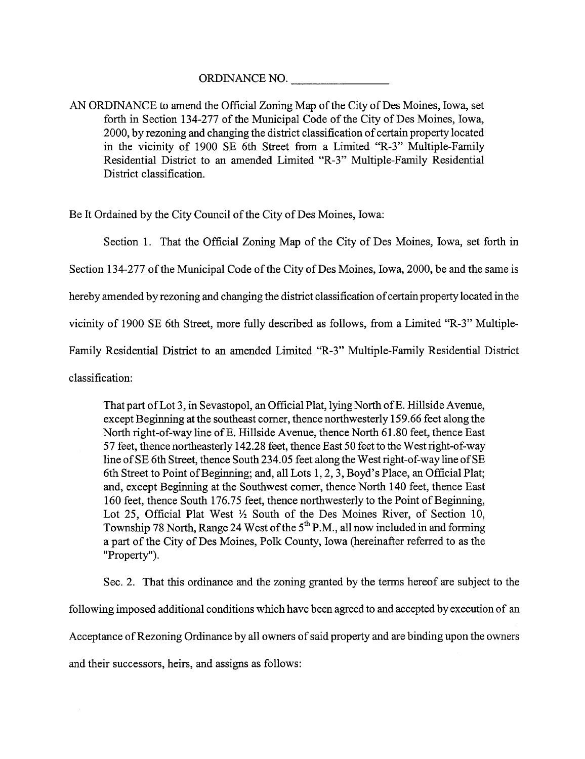ORDINANCE NO.

AN ORDINANCE to amend the Official Zoning Map of the City of Des Moines, Iowa, set forth in Section 134-277 of the Municipal Code of the City of Des Moines, Iowa, 2000, by rezoning and changing the district classification of certain property located in the vicinity of 1900 SE 6th Street from a Limited "R-3" Multiple-Famly Residential District to an amended Limited "R-3" Multiple-Family Residential District classification.

Be It Ordained by the City Council of the City of Des Moines, Iowa:

Section 1. That the Official Zoning Map of the City of Des Moines, Iowa, set forth in

Section 134-277 of the Municipal Code of the City of Des Moines, Iowa, 2000, be and the same is

hereby amended by rezoning and changing the district classification of certain property located in the

vicinity of 1900 SE 6th Street, more fully described as follows, from a Limited "R-3" Multiple-

Family Residential District to an amended Limited "R-3" Multiple-Family Residential District

classification:

That part of Lot 3, in Sevastopol, an Official Plat, lying North of E. Hillside Avenue, except Beginning at the southeast corner, thence northwesterly 159.66 feet along the North right-of-way line of E. Hillside Avenue, thence North 61.80 feet, thence East 57 feet, thence northeasterly 142.28 feet, thence East 50 feet to the West right-of-way line of SE 6th Street, thence South 234.05 feet along the West right-of-way line of SE 6th Street to Point of Beginning; and, all Lots 1, 2, 3, Boyd's Place, an Official Plat; and, except Beginning at the Southwest corner, thence North 140 feet, thence East 160 feet, thence South 176.75 feet, thence northwesterly to the Point of Beginning, Lot 25, Official Plat West  $\frac{1}{2}$  South of the Des Moines River, of Section 10, Township 78 North, Range 24 West of the  $5<sup>th</sup>$  P.M., all now included in and forming a part of the City of Des Moines, Polk County, Iowa (hereinafter referred to as the "Property").

Sec. 2. That this ordinance and the zoning granted by the terms hereof are subject to the following imposed additional conditions which have been agreed to and accepted by execution of an Acceptance of Rezoning Ordinance by all owners of said property and are binding upon the owners and their successors, heirs, and assigns as follows: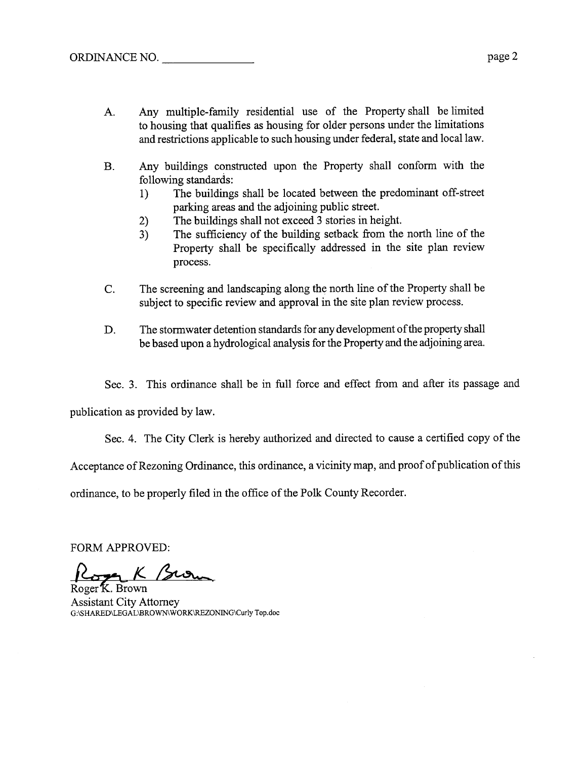- A. Any multiple-family residential use of the Property shall be limited to housing that qualifies as housing for older persons under the limitations and restrictions applicable to such housing under federal, state and local law.
- B. Any buildings constructed upon the Property shall conform with the following standards:
	- I) The buildings shall be located between the predominant off-street parking areas and the adjoining public street.
	- 2) The buildings shall not exceed 3 stories in height.
	- 3) The sufficiency of the building setback from the north line of the Property shall be specifically addressed in the site plan review process.
- C. The screening and landscaping along the north line of the Property shall be subject to specific review and approval in the site plan review process.
- D. The stormwater detention standards for any development of the property shall be based upon a hydrological analysis for the Property and the adjoining area.

Sec. 3. This ordinance shall be in full force and effect from and after its passage and

publication as provided by law.

Sec. 4. The City Clerk is hereby authorized and directed to cause a certified copy of the

Acceptance of Rezoning Ordinance, this ordinance, a vicinity map, and proof of publication of this

ordinance, to be properly filed in the office of the Polk County Recorder.

FORM APPROVED:<br>Roger K. Brown

Assistant City Attorney G:\SHARED\LEGAL\BROWNWORK\RZONING\Curly Top.doc